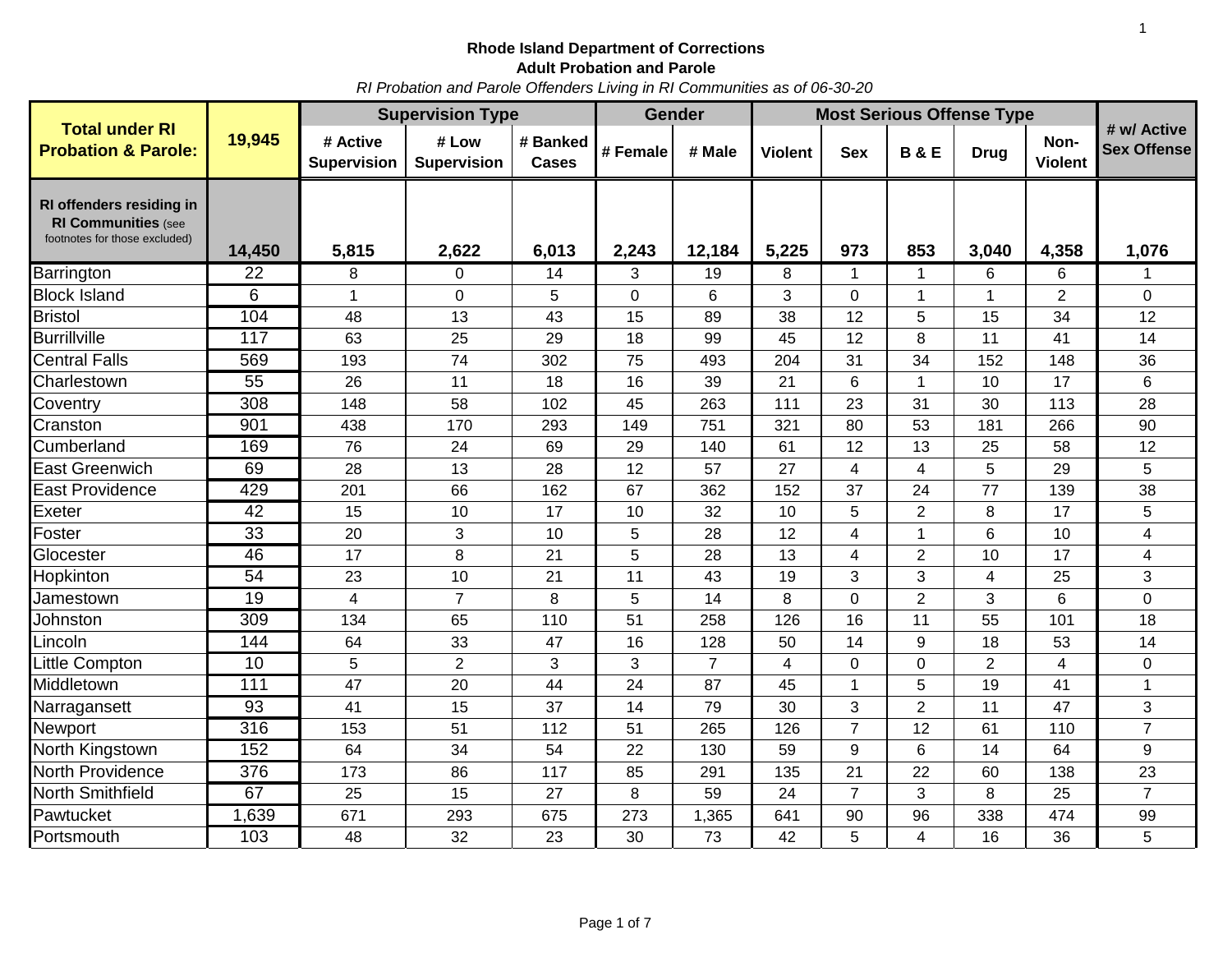*RI Probation and Parole Offenders Living in RI Communities as of 06-30-20*

|                                                                                         |                  | <b>Supervision Type</b>        |                             |                          |             | <b>Gender</b>  | <b>Most Serious Offense Type</b> |                |                |                |                        |                                   |
|-----------------------------------------------------------------------------------------|------------------|--------------------------------|-----------------------------|--------------------------|-------------|----------------|----------------------------------|----------------|----------------|----------------|------------------------|-----------------------------------|
| <b>Total under RI</b><br><b>Probation &amp; Parole:</b>                                 | 19,945           | # Active<br><b>Supervision</b> | # Low<br><b>Supervision</b> | # Banked<br><b>Cases</b> | # Female    | # Male         | <b>Violent</b>                   | <b>Sex</b>     | <b>B&amp;E</b> | <b>Drug</b>    | Non-<br><b>Violent</b> | # w/ Active<br><b>Sex Offense</b> |
| RI offenders residing in<br><b>RI Communities (see</b><br>footnotes for those excluded) | 14,450           | 5,815                          | 2,622                       | 6,013                    | 2,243       | 12,184         | 5,225                            | 973            | 853            | 3,040          | 4,358                  | 1,076                             |
| Barrington                                                                              | 22               | 8                              | $\Omega$                    | 14                       | 3           | 19             | 8                                | 1              | $\mathbf 1$    | 6              | 6                      | 1                                 |
| <b>Block Island</b>                                                                     | 6                | 1                              | $\mathbf 0$                 | 5                        | $\mathbf 0$ | 6              | 3                                | $\Omega$       | $\mathbf{1}$   | $\mathbf{1}$   | $\overline{2}$         | $\mathbf 0$                       |
| <b>Bristol</b>                                                                          | 104              | 48                             | 13                          | 43                       | 15          | 89             | 38                               | 12             | 5              | 15             | 34                     | 12                                |
| <b>Burrillville</b>                                                                     | 117              | 63                             | 25                          | 29                       | 18          | 99             | 45                               | 12             | 8              | 11             | 41                     | 14                                |
| <b>Central Falls</b>                                                                    | 569              | 193                            | 74                          | 302                      | 75          | 493            | 204                              | 31             | 34             | 152            | 148                    | 36                                |
| Charlestown                                                                             | $\overline{55}$  | 26                             | 11                          | 18                       | 16          | 39             | 21                               | 6              | $\mathbf{1}$   | 10             | 17                     | 6                                 |
| Coventry                                                                                | $\overline{308}$ | 148                            | 58                          | 102                      | 45          | 263            | 111                              | 23             | 31             | 30             | 113                    | 28                                |
| Cranston                                                                                | 901              | 438                            | 170                         | 293                      | 149         | 751            | 321                              | 80             | 53             | 181            | 266                    | 90                                |
| Cumberland                                                                              | 169              | 76                             | 24                          | 69                       | 29          | 140            | 61                               | 12             | 13             | 25             | 58                     | 12                                |
| <b>East Greenwich</b>                                                                   | 69               | 28                             | 13                          | 28                       | 12          | 57             | 27                               | 4              | 4              | 5              | 29                     | 5                                 |
| <b>East Providence</b>                                                                  | 429              | 201                            | 66                          | 162                      | 67          | 362            | 152                              | 37             | 24             | 77             | 139                    | 38                                |
| Exeter                                                                                  | 42               | 15                             | 10                          | 17                       | 10          | 32             | 10                               | 5              | $\overline{2}$ | 8              | 17                     | 5                                 |
| Foster                                                                                  | 33               | 20                             | $\mathbf{3}$                | 10                       | 5           | 28             | 12                               | 4              | $\mathbf{1}$   | 6              | 10                     | $\overline{\mathbf{4}}$           |
| Glocester                                                                               | 46               | 17                             | 8                           | 21                       | 5           | 28             | 13                               | 4              | $\overline{2}$ | 10             | 17                     | 4                                 |
| Hopkinton                                                                               | $\overline{54}$  | 23                             | 10                          | 21                       | 11          | 43             | 19                               | 3              | 3              | 4              | 25                     | 3                                 |
| Jamestown                                                                               | $\overline{19}$  | $\overline{\mathbf{4}}$        | $\overline{7}$              | 8                        | 5           | 14             | 8                                | $\mathbf 0$    | $\overline{2}$ | 3              | 6                      | $\overline{0}$                    |
| Johnston                                                                                | 309              | 134                            | 65                          | 110                      | 51          | 258            | 126                              | 16             | 11             | 55             | 101                    | 18                                |
| Lincoln                                                                                 | 144              | 64                             | 33                          | 47                       | 16          | 128            | 50                               | 14             | 9              | 18             | 53                     | 14                                |
| Little Compton                                                                          | $\overline{10}$  | 5                              | $\overline{2}$              | 3                        | 3           | $\overline{7}$ | 4                                | $\Omega$       | $\mathbf 0$    | $\overline{2}$ | 4                      | $\mathbf 0$                       |
| Middletown                                                                              | 111              | 47                             | 20                          | 44                       | 24          | 87             | 45                               | 1              | 5              | 19             | 41                     | 1                                 |
| Narragansett                                                                            | 93               | 41                             | 15                          | 37                       | 14          | 79             | 30                               | 3              | $\overline{2}$ | 11             | 47                     | 3                                 |
| Newport                                                                                 | 316              | 153                            | 51                          | 112                      | 51          | 265            | 126                              | $\overline{7}$ | 12             | 61             | 110                    | $\overline{7}$                    |
| North Kingstown                                                                         | 152              | 64                             | 34                          | 54                       | 22          | 130            | 59                               | 9              | 6              | 14             | 64                     | 9                                 |
| <b>North Providence</b>                                                                 | 376              | 173                            | 86                          | 117                      | 85          | 291            | 135                              | 21             | 22             | 60             | 138                    | 23                                |
| North Smithfield                                                                        | 67               | 25                             | 15                          | 27                       | 8           | 59             | 24                               | $\overline{7}$ | 3              | 8              | 25                     | $\overline{7}$                    |
| Pawtucket                                                                               | 1,639            | 671                            | 293                         | 675                      | 273         | 1,365          | 641                              | 90             | 96             | 338            | 474                    | 99                                |
| Portsmouth                                                                              | 103              | 48                             | 32                          | 23                       | 30          | 73             | 42                               | 5              | 4              | 16             | 36                     | 5                                 |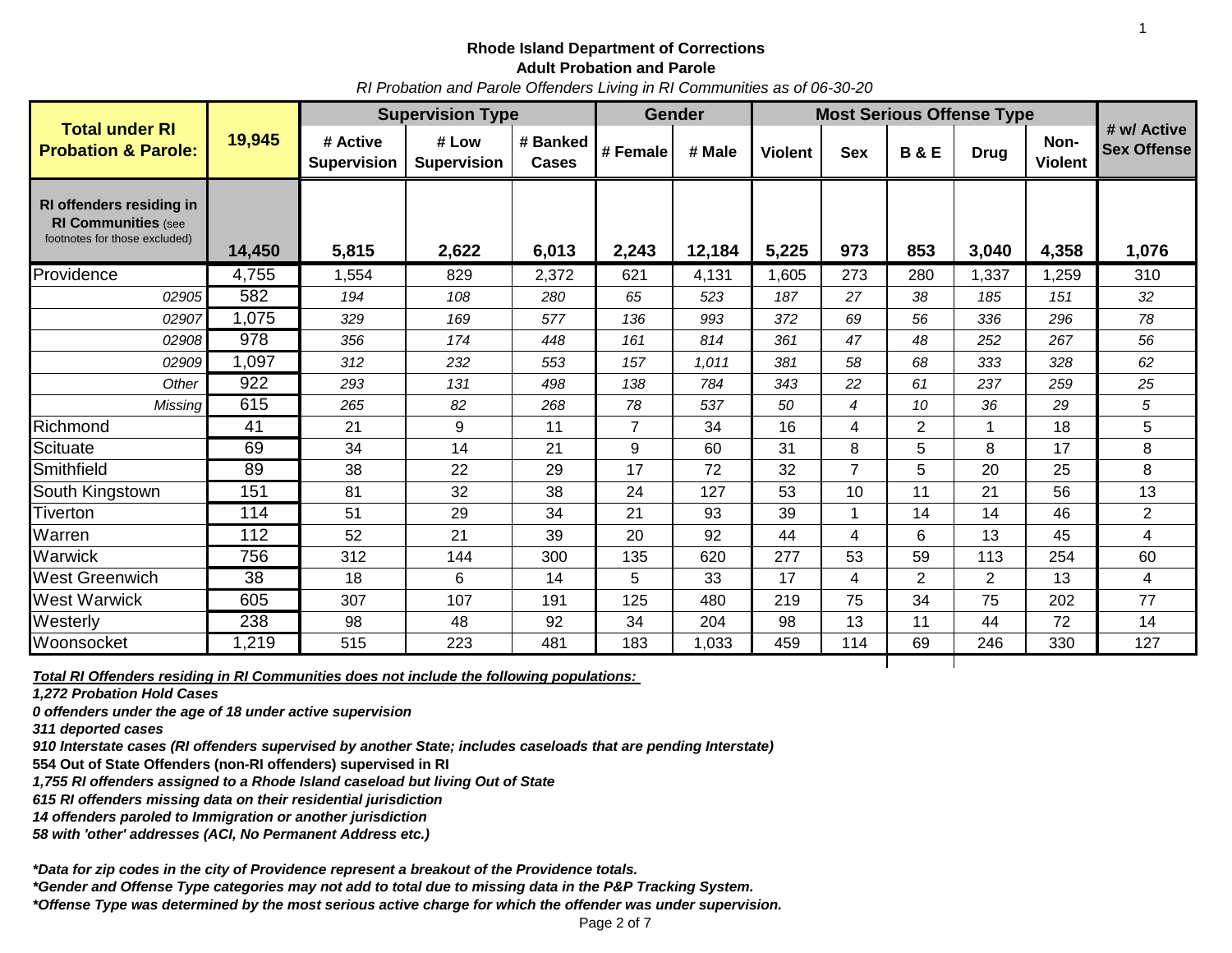#### **Rhode Island Department of Corrections Adult Probation and Parole**

*RI Probation and Parole Offenders Living in RI Communities as of 06-30-20*

| 19,945<br># Low<br># Active<br># Banked<br>Non-<br><b>Sex Offense</b><br><b>Probation &amp; Parole:</b><br># Female<br># Male<br><b>Violent</b><br><b>Sex</b><br><b>B&amp;E</b><br><b>Drug</b><br><b>Supervision</b><br><b>Violent</b><br><b>Supervision</b><br>Cases<br>RI offenders residing in<br><b>RI Communities (see</b><br>footnotes for those excluded)<br>14,450<br>5,815<br>2,622<br>2,243<br>12,184<br>5,225<br>853<br>3,040<br>1,076<br>6,013<br>973<br>4,358<br>Providence<br>4,755<br>829<br>4,131<br>280<br>1,337<br>310<br>1,554<br>2,372<br>621<br>1,605<br>273<br>1,259<br>582<br>02905<br>108<br>65<br>523<br>27<br>38<br>151<br>32<br>194<br>280<br>187<br>185<br>1,075<br>56<br>78<br>02907<br>329<br>169<br>577<br>136<br>993<br>372<br>69<br>336<br>296<br>978<br>56<br>02908<br>356<br>174<br>448<br>161<br>814<br>361<br>47<br>48<br>252<br>267<br>1,097<br>232<br>553<br>58<br>62<br>02909<br>312<br>157<br>1,011<br>381<br>68<br>333<br>328<br>922<br>25<br>Other<br>131<br>498<br>22<br>61<br>237<br>293<br>138<br>784<br>343<br>259<br>615<br>265<br>82<br>268<br>36<br>5<br>78<br>537<br>50<br>10<br>29<br>Missing<br>$\overline{4}$<br>9<br>$\overline{2}$<br>18<br>5<br>41<br>21<br>11<br>$\overline{7}$<br>34<br>16<br>4<br>1<br>5<br>8<br>69<br>14<br>21<br>9<br>31<br>8<br>8<br>34<br>60<br>17<br>89<br>38<br>22<br>29<br>72<br>32<br>$\overline{7}$<br>5<br>20<br>25<br>8<br>17<br>151<br>32<br>13<br>81<br>38<br>127<br>53<br>11<br>21<br>56<br>24<br>10<br>114<br>29<br>$\overline{2}$<br>51<br>34<br>21<br>39<br>93<br>14<br>14<br>46<br>112<br>21<br>52<br>39<br>20<br>92<br>44<br>6<br>13<br>4<br>45<br>$\overline{4}$<br>756<br>59<br>60<br>312<br>300<br>135<br>620<br>277<br>53<br>254<br>144<br>113<br>38<br>$\overline{2}$<br>$\overline{2}$<br>18<br>6<br>14<br>5<br>33<br>17<br>13<br>4<br>4<br>605<br>307<br>107<br>480<br>75<br>75<br>202<br>77<br>191<br>125<br>219<br>34<br>238<br>98<br>48<br>92<br>34<br>204<br>98<br>72<br>14<br>13<br>11<br>44<br>1,219<br>223<br>481<br>1,033<br>114<br>69<br>246<br>127<br>515<br>183<br>459<br>330 |                       |  | <b>Supervision Type</b> |  | <b>Gender</b> | <b>Most Serious Offense Type</b> |  |  |             |
|------------------------------------------------------------------------------------------------------------------------------------------------------------------------------------------------------------------------------------------------------------------------------------------------------------------------------------------------------------------------------------------------------------------------------------------------------------------------------------------------------------------------------------------------------------------------------------------------------------------------------------------------------------------------------------------------------------------------------------------------------------------------------------------------------------------------------------------------------------------------------------------------------------------------------------------------------------------------------------------------------------------------------------------------------------------------------------------------------------------------------------------------------------------------------------------------------------------------------------------------------------------------------------------------------------------------------------------------------------------------------------------------------------------------------------------------------------------------------------------------------------------------------------------------------------------------------------------------------------------------------------------------------------------------------------------------------------------------------------------------------------------------------------------------------------------------------------------------------------------------------------------------------------------------------------------------------------------------------------------------------------------------------------------------------------------------------------------------|-----------------------|--|-------------------------|--|---------------|----------------------------------|--|--|-------------|
|                                                                                                                                                                                                                                                                                                                                                                                                                                                                                                                                                                                                                                                                                                                                                                                                                                                                                                                                                                                                                                                                                                                                                                                                                                                                                                                                                                                                                                                                                                                                                                                                                                                                                                                                                                                                                                                                                                                                                                                                                                                                                                | <b>Total under RI</b> |  |                         |  |               |                                  |  |  | # w/ Active |
|                                                                                                                                                                                                                                                                                                                                                                                                                                                                                                                                                                                                                                                                                                                                                                                                                                                                                                                                                                                                                                                                                                                                                                                                                                                                                                                                                                                                                                                                                                                                                                                                                                                                                                                                                                                                                                                                                                                                                                                                                                                                                                |                       |  |                         |  |               |                                  |  |  |             |
|                                                                                                                                                                                                                                                                                                                                                                                                                                                                                                                                                                                                                                                                                                                                                                                                                                                                                                                                                                                                                                                                                                                                                                                                                                                                                                                                                                                                                                                                                                                                                                                                                                                                                                                                                                                                                                                                                                                                                                                                                                                                                                |                       |  |                         |  |               |                                  |  |  |             |
|                                                                                                                                                                                                                                                                                                                                                                                                                                                                                                                                                                                                                                                                                                                                                                                                                                                                                                                                                                                                                                                                                                                                                                                                                                                                                                                                                                                                                                                                                                                                                                                                                                                                                                                                                                                                                                                                                                                                                                                                                                                                                                |                       |  |                         |  |               |                                  |  |  |             |
|                                                                                                                                                                                                                                                                                                                                                                                                                                                                                                                                                                                                                                                                                                                                                                                                                                                                                                                                                                                                                                                                                                                                                                                                                                                                                                                                                                                                                                                                                                                                                                                                                                                                                                                                                                                                                                                                                                                                                                                                                                                                                                |                       |  |                         |  |               |                                  |  |  |             |
|                                                                                                                                                                                                                                                                                                                                                                                                                                                                                                                                                                                                                                                                                                                                                                                                                                                                                                                                                                                                                                                                                                                                                                                                                                                                                                                                                                                                                                                                                                                                                                                                                                                                                                                                                                                                                                                                                                                                                                                                                                                                                                |                       |  |                         |  |               |                                  |  |  |             |
|                                                                                                                                                                                                                                                                                                                                                                                                                                                                                                                                                                                                                                                                                                                                                                                                                                                                                                                                                                                                                                                                                                                                                                                                                                                                                                                                                                                                                                                                                                                                                                                                                                                                                                                                                                                                                                                                                                                                                                                                                                                                                                |                       |  |                         |  |               |                                  |  |  |             |
|                                                                                                                                                                                                                                                                                                                                                                                                                                                                                                                                                                                                                                                                                                                                                                                                                                                                                                                                                                                                                                                                                                                                                                                                                                                                                                                                                                                                                                                                                                                                                                                                                                                                                                                                                                                                                                                                                                                                                                                                                                                                                                |                       |  |                         |  |               |                                  |  |  |             |
|                                                                                                                                                                                                                                                                                                                                                                                                                                                                                                                                                                                                                                                                                                                                                                                                                                                                                                                                                                                                                                                                                                                                                                                                                                                                                                                                                                                                                                                                                                                                                                                                                                                                                                                                                                                                                                                                                                                                                                                                                                                                                                |                       |  |                         |  |               |                                  |  |  |             |
|                                                                                                                                                                                                                                                                                                                                                                                                                                                                                                                                                                                                                                                                                                                                                                                                                                                                                                                                                                                                                                                                                                                                                                                                                                                                                                                                                                                                                                                                                                                                                                                                                                                                                                                                                                                                                                                                                                                                                                                                                                                                                                |                       |  |                         |  |               |                                  |  |  |             |
|                                                                                                                                                                                                                                                                                                                                                                                                                                                                                                                                                                                                                                                                                                                                                                                                                                                                                                                                                                                                                                                                                                                                                                                                                                                                                                                                                                                                                                                                                                                                                                                                                                                                                                                                                                                                                                                                                                                                                                                                                                                                                                | Richmond              |  |                         |  |               |                                  |  |  |             |
|                                                                                                                                                                                                                                                                                                                                                                                                                                                                                                                                                                                                                                                                                                                                                                                                                                                                                                                                                                                                                                                                                                                                                                                                                                                                                                                                                                                                                                                                                                                                                                                                                                                                                                                                                                                                                                                                                                                                                                                                                                                                                                | Scituate              |  |                         |  |               |                                  |  |  |             |
|                                                                                                                                                                                                                                                                                                                                                                                                                                                                                                                                                                                                                                                                                                                                                                                                                                                                                                                                                                                                                                                                                                                                                                                                                                                                                                                                                                                                                                                                                                                                                                                                                                                                                                                                                                                                                                                                                                                                                                                                                                                                                                | Smithfield            |  |                         |  |               |                                  |  |  |             |
|                                                                                                                                                                                                                                                                                                                                                                                                                                                                                                                                                                                                                                                                                                                                                                                                                                                                                                                                                                                                                                                                                                                                                                                                                                                                                                                                                                                                                                                                                                                                                                                                                                                                                                                                                                                                                                                                                                                                                                                                                                                                                                | South Kingstown       |  |                         |  |               |                                  |  |  |             |
|                                                                                                                                                                                                                                                                                                                                                                                                                                                                                                                                                                                                                                                                                                                                                                                                                                                                                                                                                                                                                                                                                                                                                                                                                                                                                                                                                                                                                                                                                                                                                                                                                                                                                                                                                                                                                                                                                                                                                                                                                                                                                                | Tiverton              |  |                         |  |               |                                  |  |  |             |
|                                                                                                                                                                                                                                                                                                                                                                                                                                                                                                                                                                                                                                                                                                                                                                                                                                                                                                                                                                                                                                                                                                                                                                                                                                                                                                                                                                                                                                                                                                                                                                                                                                                                                                                                                                                                                                                                                                                                                                                                                                                                                                | Warren                |  |                         |  |               |                                  |  |  |             |
|                                                                                                                                                                                                                                                                                                                                                                                                                                                                                                                                                                                                                                                                                                                                                                                                                                                                                                                                                                                                                                                                                                                                                                                                                                                                                                                                                                                                                                                                                                                                                                                                                                                                                                                                                                                                                                                                                                                                                                                                                                                                                                | Warwick               |  |                         |  |               |                                  |  |  |             |
|                                                                                                                                                                                                                                                                                                                                                                                                                                                                                                                                                                                                                                                                                                                                                                                                                                                                                                                                                                                                                                                                                                                                                                                                                                                                                                                                                                                                                                                                                                                                                                                                                                                                                                                                                                                                                                                                                                                                                                                                                                                                                                | <b>West Greenwich</b> |  |                         |  |               |                                  |  |  |             |
|                                                                                                                                                                                                                                                                                                                                                                                                                                                                                                                                                                                                                                                                                                                                                                                                                                                                                                                                                                                                                                                                                                                                                                                                                                                                                                                                                                                                                                                                                                                                                                                                                                                                                                                                                                                                                                                                                                                                                                                                                                                                                                | <b>West Warwick</b>   |  |                         |  |               |                                  |  |  |             |
|                                                                                                                                                                                                                                                                                                                                                                                                                                                                                                                                                                                                                                                                                                                                                                                                                                                                                                                                                                                                                                                                                                                                                                                                                                                                                                                                                                                                                                                                                                                                                                                                                                                                                                                                                                                                                                                                                                                                                                                                                                                                                                | Westerly              |  |                         |  |               |                                  |  |  |             |
|                                                                                                                                                                                                                                                                                                                                                                                                                                                                                                                                                                                                                                                                                                                                                                                                                                                                                                                                                                                                                                                                                                                                                                                                                                                                                                                                                                                                                                                                                                                                                                                                                                                                                                                                                                                                                                                                                                                                                                                                                                                                                                | Woonsocket            |  |                         |  |               |                                  |  |  |             |

*Total RI Offenders residing in RI Communities does not include the following populations:* 

*1,272 Probation Hold Cases*

*0 offenders under the age of 18 under active supervision*

*311 deported cases* 

*910 Interstate cases (RI offenders supervised by another State; includes caseloads that are pending Interstate)* 

**554 Out of State Offenders (non-RI offenders) supervised in RI** 

*1,755 RI offenders assigned to a Rhode Island caseload but living Out of State*

*615 RI offenders missing data on their residential jurisdiction*

*14 offenders paroled to Immigration or another jurisdiction*

*58 with 'other' addresses (ACI, No Permanent Address etc.)*

*\*Data for zip codes in the city of Providence represent a breakout of the Providence totals.*

*\*Gender and Offense Type categories may not add to total due to missing data in the P&P Tracking System.*

*\*Offense Type was determined by the most serious active charge for which the offender was under supervision.*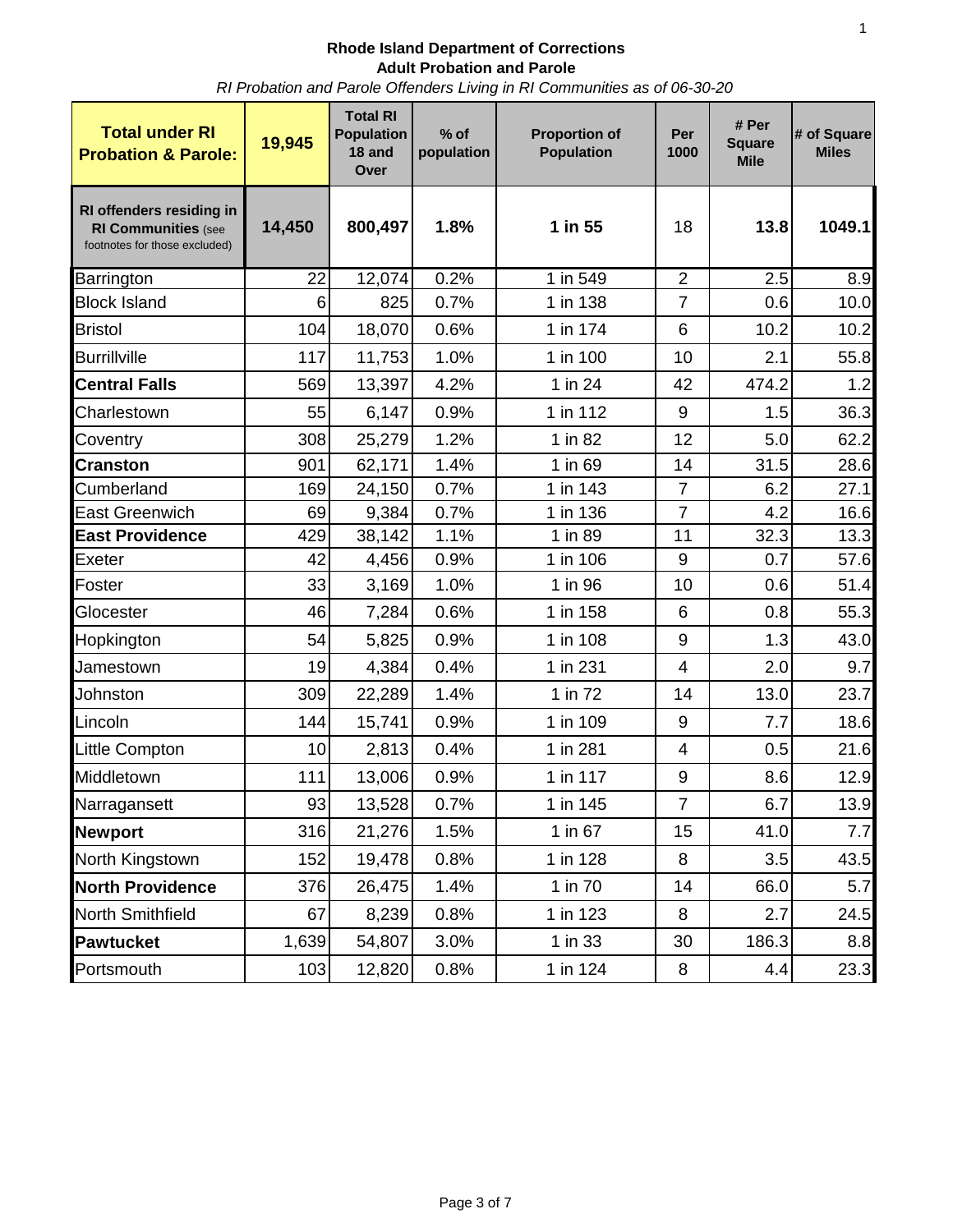## **Rhode Island Department of Corrections Adult Probation and Parole**

*RI Probation and Parole Offenders Living in RI Communities as of 06-30-20*

| <b>Total under RI</b><br><b>Probation &amp; Parole:</b>                                 | 19,945 | <b>Total RI</b><br><b>Population</b><br>18 and<br>Over | $%$ of<br>population | <b>Proportion of</b><br><b>Population</b> | Per<br>1000    | # Per<br><b>Square</b><br><b>Mile</b> | # of Square<br><b>Miles</b> |
|-----------------------------------------------------------------------------------------|--------|--------------------------------------------------------|----------------------|-------------------------------------------|----------------|---------------------------------------|-----------------------------|
| RI offenders residing in<br><b>RI Communities (see</b><br>footnotes for those excluded) | 14,450 | 800,497                                                | 1.8%                 | 1 in 55                                   | 18             | 13.8                                  | 1049.1                      |
| Barrington                                                                              | 22     | 12,074                                                 | 0.2%                 | 1 in 549                                  | $\overline{2}$ | 2.5                                   | 8.9                         |
| <b>Block Island</b>                                                                     | 6      | 825                                                    | 0.7%                 | 1 in 138                                  | 7              | 0.6                                   | 10.0                        |
| <b>Bristol</b>                                                                          | 104    | 18,070                                                 | 0.6%                 | 1 in 174                                  | 6              | 10.2                                  | 10.2                        |
| <b>Burrillville</b>                                                                     | 117    | 11,753                                                 | 1.0%                 | 1 in 100                                  | 10             | 2.1                                   | 55.8                        |
| <b>Central Falls</b>                                                                    | 569    | 13,397                                                 | 4.2%                 | 1 in 24                                   | 42             | 474.2                                 | 1.2                         |
| Charlestown                                                                             | 55     | 6,147                                                  | 0.9%                 | 1 in 112                                  | 9              | 1.5                                   | 36.3                        |
| Coventry                                                                                | 308    | 25,279                                                 | 1.2%                 | 1 in 82                                   | 12             | 5.0                                   | 62.2                        |
| <b>Cranston</b>                                                                         | 901    | 62,171                                                 | 1.4%                 | 1 in 69                                   | 14             | 31.5                                  | 28.6                        |
| Cumberland                                                                              | 169    | 24,150                                                 | 0.7%                 | 1 in 143                                  | $\overline{7}$ | 6.2                                   | 27.1                        |
| <b>East Greenwich</b>                                                                   | 69     | 9,384                                                  | 0.7%                 | 1 in 136                                  | $\overline{7}$ | 4.2                                   | 16.6                        |
| <b>East Providence</b>                                                                  | 429    | 38,142                                                 | 1.1%                 | 1 in 89                                   | 11             | 32.3                                  | 13.3                        |
| Exeter                                                                                  | 42     | 4,456                                                  | 0.9%                 | 1 in 106                                  | 9              | 0.7                                   | 57.6                        |
| Foster                                                                                  | 33     | 3,169                                                  | 1.0%                 | 1 in 96                                   | 10             | 0.6                                   | 51.4                        |
| Glocester                                                                               | 46     | 7,284                                                  | 0.6%                 | 1 in 158                                  | 6              | 0.8                                   | 55.3                        |
| Hopkington                                                                              | 54     | 5,825                                                  | 0.9%                 | 1 in 108                                  | 9              | 1.3                                   | 43.0                        |
| Jamestown                                                                               | 19     | 4,384                                                  | 0.4%                 | 1 in 231                                  | $\overline{4}$ | 2.0                                   | 9.7                         |
| Johnston                                                                                | 309    | 22,289                                                 | 1.4%                 | 1 in 72                                   | 14             | 13.0                                  | 23.7                        |
| Lincoln                                                                                 | 144    | 15,741                                                 | 0.9%                 | 1 in 109                                  | 9              | 7.7                                   | 18.6                        |
| Little Compton                                                                          | 10     | 2,813                                                  | 0.4%                 | 1 in 281                                  | 4              | 0.5                                   | 21.6                        |
| Middletown                                                                              | 111    | 13,006                                                 | 0.9%                 | 1 in 117                                  | 9              | 8.6                                   | 12.9                        |
| Narragansett                                                                            | 93     | 13,528                                                 | $0.7\%$              | 1 in 145                                  | 7              | 6.7                                   | 13.9                        |
| <b>Newport</b>                                                                          | 316    | 21,276                                                 | 1.5%                 | 1 in 67                                   | 15             | 41.0                                  | 7.7                         |
| North Kingstown                                                                         | 152    | 19,478                                                 | 0.8%                 | 1 in 128                                  | 8              | 3.5                                   | 43.5                        |
| <b>North Providence</b>                                                                 | 376    | 26,475                                                 | 1.4%                 | 1 in 70                                   | 14             | 66.0                                  | 5.7                         |
| North Smithfield                                                                        | 67     | 8,239                                                  | 0.8%                 | 1 in 123                                  | 8              | 2.7                                   | 24.5                        |
| Pawtucket                                                                               | 1,639  | 54,807                                                 | 3.0%                 | 1 in 33                                   | 30             | 186.3                                 | 8.8                         |
| Portsmouth                                                                              | 103    | 12,820                                                 | 0.8%                 | 1 in 124                                  | 8              | 4.4                                   | 23.3                        |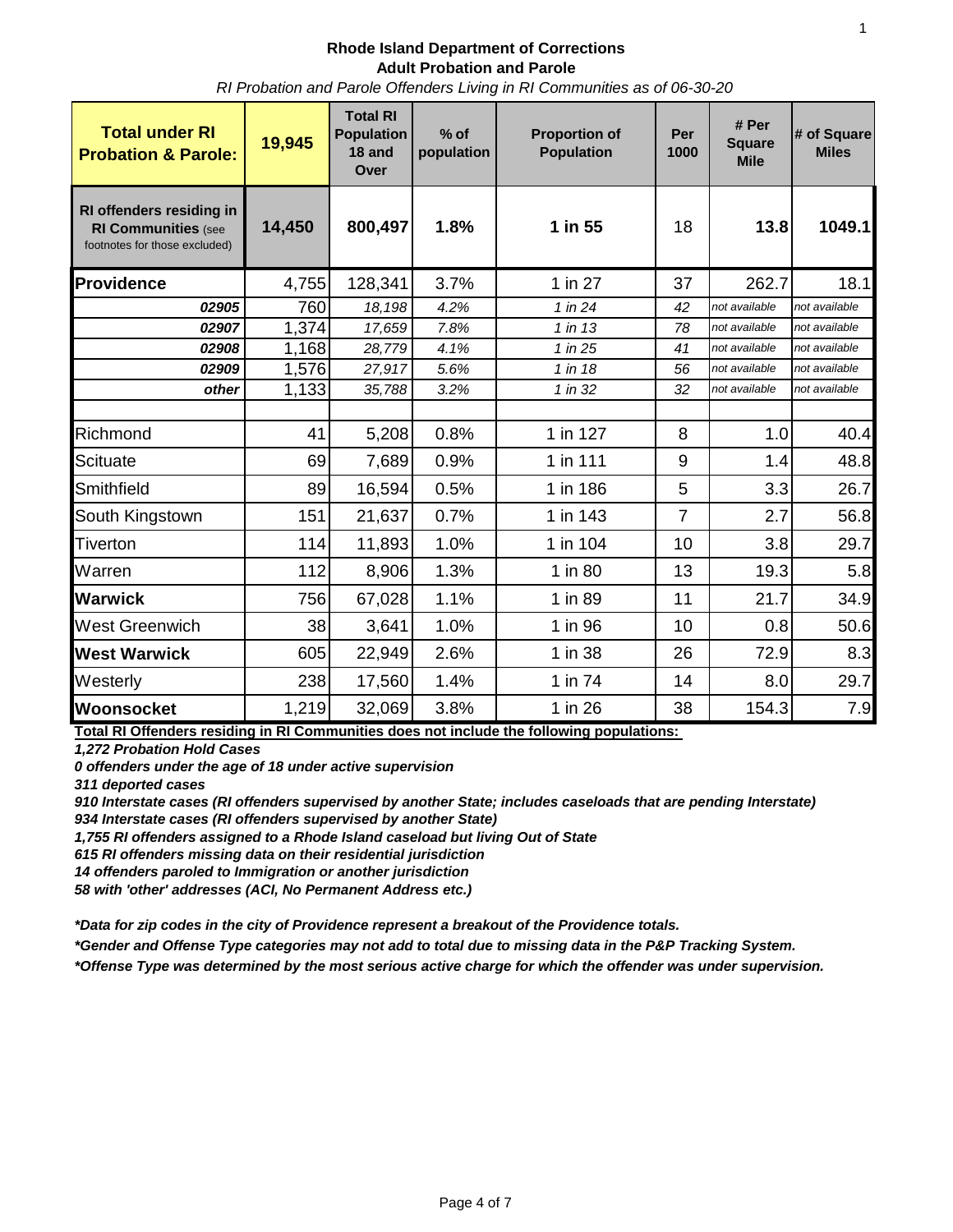#### **Rhode Island Department of Corrections Adult Probation and Parole** *RI Probation and Parole Offenders Living in RI Communities as of 06-30-20*

| <b>Total under RI</b><br><b>Probation &amp; Parole:</b>                                 | 19,945 | <b>Total RI</b><br><b>Population</b><br>18 and<br>Over | $%$ of<br>population | <b>Proportion of</b><br><b>Population</b> | Per<br>1000    | # Per<br><b>Square</b><br><b>Mile</b> | # of Square<br><b>Miles</b> |
|-----------------------------------------------------------------------------------------|--------|--------------------------------------------------------|----------------------|-------------------------------------------|----------------|---------------------------------------|-----------------------------|
| RI offenders residing in<br><b>RI Communities (see</b><br>footnotes for those excluded) | 14,450 | 800,497                                                | 1.8%                 | 1 in 55                                   | 18             | 13.8                                  | 1049.1                      |
| <b>Providence</b>                                                                       | 4,755  | 128,341                                                | 3.7%                 | 1 in 27                                   | 37             | 262.7                                 | 18.1                        |
| 02905                                                                                   | 760    | 18,198                                                 | 4.2%                 | 1 in 24                                   | 42             | not available                         | not available               |
| 02907                                                                                   | 1,374  | 17,659                                                 | 7.8%                 | 1 in 13                                   | 78             | not available                         | not available               |
| 02908                                                                                   | 1,168  | 28,779                                                 | 4.1%                 | 1 in 25                                   | 41             | not available                         | not available               |
| 02909                                                                                   | 1,576  | 27,917                                                 | 5.6%                 | 1 in 18                                   | 56             | not available                         | not available               |
| other                                                                                   | 1,133  | 35,788                                                 | 3.2%                 | 1 in 32                                   | 32             | not available                         | not available               |
| Richmond                                                                                | 41     | 5,208                                                  | 0.8%                 | 1 in 127                                  | 8              | 1.0                                   | 40.4                        |
| <b>Scituate</b>                                                                         | 69     | 7,689                                                  | 0.9%                 | 1 in 111                                  | 9              | 1.4                                   | 48.8                        |
| Smithfield                                                                              | 89     | 16,594                                                 | 0.5%                 | 1 in 186                                  | 5              | 3.3                                   | 26.7                        |
| South Kingstown                                                                         | 151    | 21,637                                                 | 0.7%                 | 1 in 143                                  | $\overline{7}$ | 2.7                                   | 56.8                        |
| Tiverton                                                                                | 114    | 11,893                                                 | 1.0%                 | 1 in 104                                  | 10             | 3.8                                   | 29.7                        |
| Warren                                                                                  | 112    | 8,906                                                  | 1.3%                 | 1 in 80                                   | 13             | 19.3                                  | 5.8                         |
| <b>Warwick</b>                                                                          | 756    | 67,028                                                 | 1.1%                 | 1 in 89                                   | 11             | 21.7                                  | 34.9                        |
| West Greenwich                                                                          | 38     | 3,641                                                  | 1.0%                 | 1 in 96                                   | 10             | 0.8                                   | 50.6                        |
| <b>West Warwick</b>                                                                     | 605    | 22,949                                                 | 2.6%                 | 1 in 38                                   | 26             | 72.9                                  | 8.3                         |
| Westerly                                                                                | 238    | 17,560                                                 | 1.4%                 | 1 in 74                                   | 14             | 8.0                                   | 29.7                        |
| Woonsocket                                                                              | 1,219  | 32,069                                                 | 3.8%                 | 1 in 26                                   | 38             | 154.3                                 | 7.9                         |

**Total RI Offenders residing in RI Communities does not include the following populations:** 

*1,272 Probation Hold Cases*

*0 offenders under the age of 18 under active supervision*

*311 deported cases* 

910 Interstate cases (RI offenders supervised by another State; includes caseloads that are pending Interstate) *934 Interstate cases (RI offenders supervised by another State)* 

*1,755 RI offenders assigned to a Rhode Island caseload but living Out of State*

*615 RI offenders missing data on their residential jurisdiction*

*14 offenders paroled to Immigration or another jurisdiction*

*58 with 'other' addresses (ACI, No Permanent Address etc.)*

*\*Data for zip codes in the city of Providence represent a breakout of the Providence totals.*

*\*Gender and Offense Type categories may not add to total due to missing data in the P&P Tracking System.*

*\*Offense Type was determined by the most serious active charge for which the offender was under supervision.*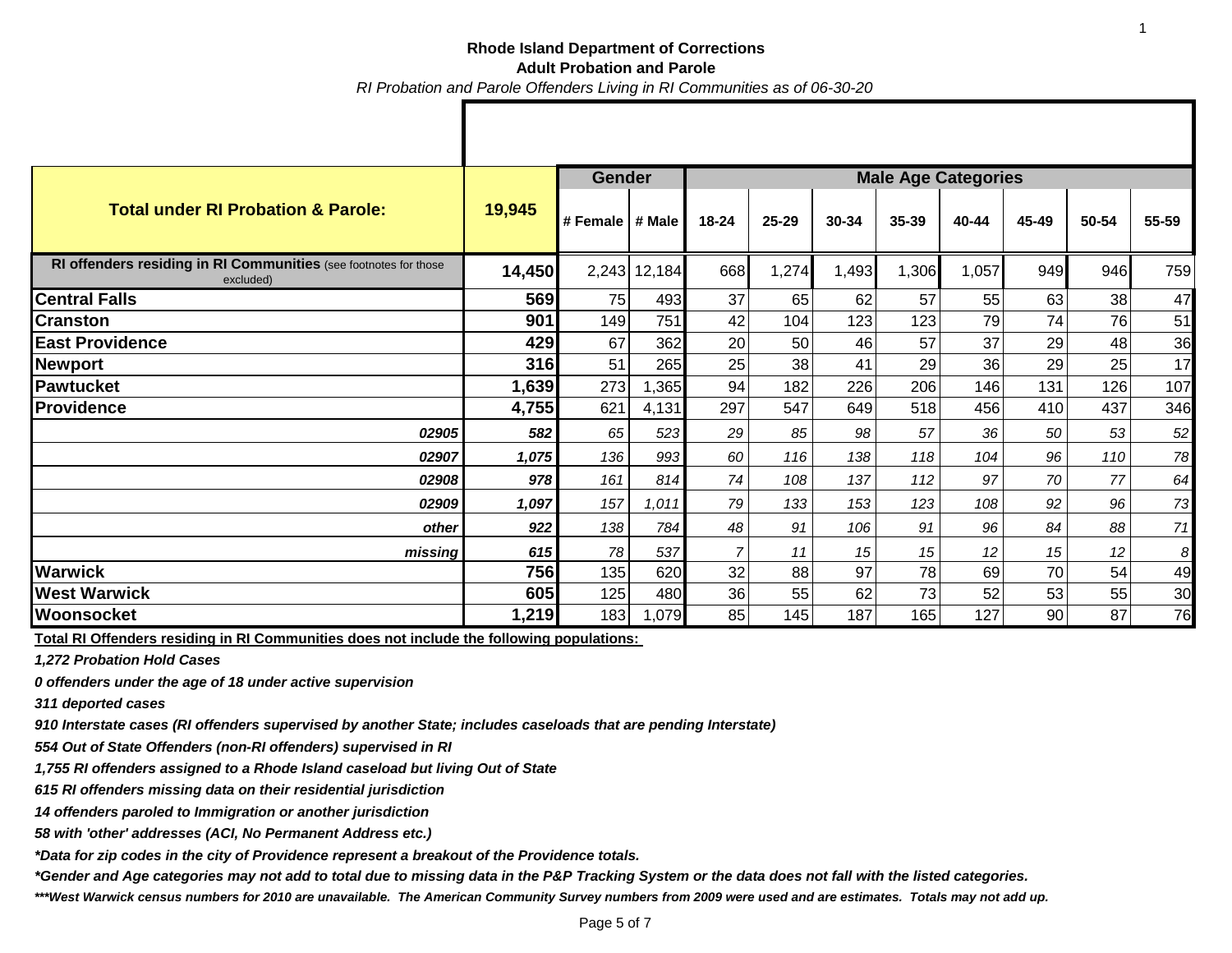### **Rhode Island Department of Corrections Adult Probation and Parole** *RI Probation and Parole Offenders Living in RI Communities as of 06-30-20*

|                                                                               |        | <b>Gender</b>     |              | <b>Male Age Categories</b> |       |       |       |       |       |       |       |
|-------------------------------------------------------------------------------|--------|-------------------|--------------|----------------------------|-------|-------|-------|-------|-------|-------|-------|
| <b>Total under RI Probation &amp; Parole:</b>                                 | 19,945 | # Female   # Male |              | 18-24                      | 25-29 | 30-34 | 35-39 | 40-44 | 45-49 | 50-54 | 55-59 |
| RI offenders residing in RI Communities (see footnotes for those<br>excluded) | 14,450 |                   | 2,243 12,184 | 668                        | 1,274 | 1,493 | 1,306 | 1,057 | 949   | 946   | 759   |
| <b>Central Falls</b>                                                          | 569    | 75                | 493          | 37                         | 65    | 62    | 57    | 55    | 63    | 38    | 47    |
| <b>Cranston</b>                                                               | 901    | 149               | 751          | 42                         | 104   | 123   | 123   | 79    | 74    | 76    | 51    |
| <b>East Providence</b>                                                        | 429    | 67                | 362          | 20                         | 50    | 46    | 57    | 37    | 29    | 48    | 36    |
| <b>Newport</b>                                                                | 316    | 51                | 265          | 25                         | 38    | 41    | 29    | 36    | 29    | 25    | 17    |
| <b>Pawtucket</b>                                                              | 1,639  | 273               | 1,365        | 94                         | 182   | 226   | 206   | 146   | 131   | 126   | 107   |
| <b>Providence</b>                                                             | 4,755  | 621               | 4,131        | 297                        | 547   | 649   | 518   | 456   | 410   | 437   | 346   |
| 02905                                                                         | 582    | 65                | 523          | 29                         | 85    | 98    | 57    | 36    | 50    | 53    | 52    |
| 02907                                                                         | 1,075  | 136               | 993          | 60                         | 116   | 138   | 118   | 104   | 96    | 110   | 78    |
| 02908                                                                         | 978    | 161               | 814          | 74                         | 108   | 137   | 112   | 97    | 70    | 77    | 64    |
| 02909                                                                         | 1,097  | 157               | 1,011        | 79                         | 133   | 153   | 123   | 108   | 92    | 96    | 73    |
| other                                                                         | 922    | 138               | 784          | 48                         | 91    | 106   | 91    | 96    | 84    | 88    | 71    |
| missing                                                                       | 615    | 78                | 537          |                            | 11    | 15    | 15    | 12    | 15    | 12    | 8     |
| <b>Warwick</b>                                                                | 756    | 135               | 620          | 32                         | 88    | 97    | 78    | 69    | 70    | 54    | 49    |
| <b>West Warwick</b>                                                           | 605    | 125               | 480          | 36                         | 55    | 62    | 73    | 52    | 53    | 55    | 30    |
| Woonsocket                                                                    | 1,219  | 183               | 1,079        | 85                         | 145   | 187   | 165   | 127   | 90    | 87    | 76    |

**Total RI Offenders residing in RI Communities does not include the following populations:** 

*1,272 Probation Hold Cases*

*0 offenders under the age of 18 under active supervision*

*311 deported cases* 

*910 Interstate cases (RI offenders supervised by another State; includes caseloads that are pending Interstate)* 

*554 Out of State Offenders (non-RI offenders) supervised in RI* 

*1,755 RI offenders assigned to a Rhode Island caseload but living Out of State*

*615 RI offenders missing data on their residential jurisdiction*

*14 offenders paroled to Immigration or another jurisdiction*

*58 with 'other' addresses (ACI, No Permanent Address etc.)*

*\*Data for zip codes in the city of Providence represent a breakout of the Providence totals.*

*\*Gender and Age categories may not add to total due to missing data in the P&P Tracking System or the data does not fall with the listed categories.*

*\*\*\*West Warwick census numbers for 2010 are unavailable. The American Community Survey numbers from 2009 were used and are estimates. Totals may not add up.*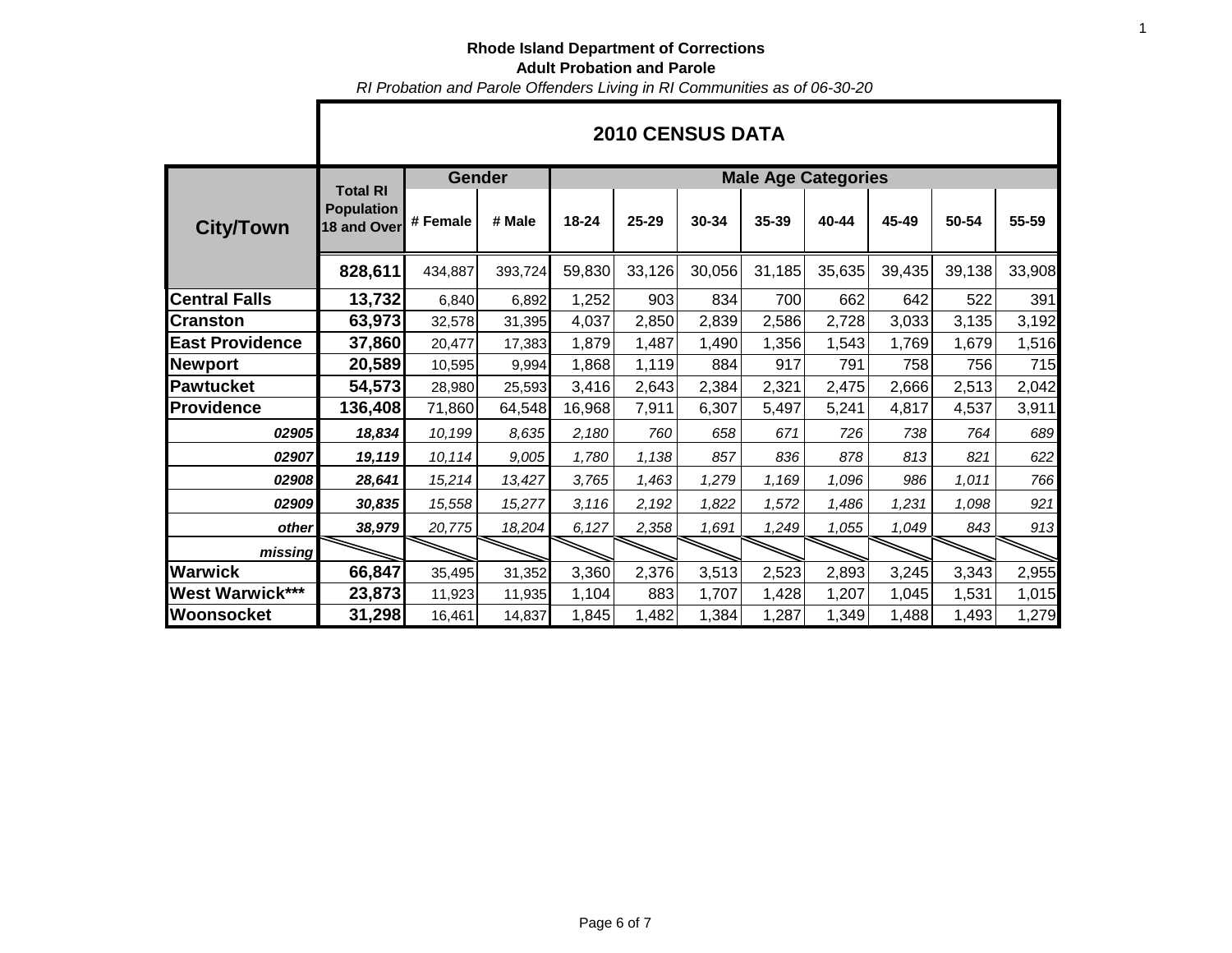# **Rhode Island Department of Corrections Adult Probation and Parole**

*RI Probation and Parole Offenders Living in RI Communities as of 06-30-20*

|                        |                                                     | <b>Gender</b> |         | <b>Male Age Categories</b> |        |        |        |        |        |        |        |  |  |
|------------------------|-----------------------------------------------------|---------------|---------|----------------------------|--------|--------|--------|--------|--------|--------|--------|--|--|
| <b>City/Town</b>       | <b>Total RI</b><br><b>Population</b><br>18 and Over | # Female      | # Male  | 18-24                      | 25-29  | 30-34  | 35-39  | 40-44  | 45-49  | 50-54  | 55-59  |  |  |
|                        | 828,611                                             | 434,887       | 393,724 | 59,830                     | 33,126 | 30,056 | 31,185 | 35,635 | 39,435 | 39,138 | 33,908 |  |  |
| <b>Central Falls</b>   | 13,732                                              | 6,840         | 6,892   | 1,252                      | 903    | 834    | 700    | 662    | 642    | 522    | 391    |  |  |
| <b>Cranston</b>        | 63,973                                              | 32,578        | 31,395  | 4,037                      | 2,850  | 2,839  | 2,586  | 2,728  | 3,033  | 3,135  | 3,192  |  |  |
| <b>East Providence</b> | 37,860                                              | 20,477        | 17,383  | 1,879                      | 1,487  | 1,490  | 1,356  | 1,543  | 1,769  | 1,679  | 1,516  |  |  |
| <b>Newport</b>         | 20,589                                              | 10,595        | 9,994   | 1,868                      | 1,119  | 884    | 917    | 791    | 758    | 756    | 715    |  |  |
| <b>Pawtucket</b>       | 54,573                                              | 28,980        | 25,593  | 3,416                      | 2,643  | 2,384  | 2,321  | 2,475  | 2,666  | 2,513  | 2,042  |  |  |
| <b>Providence</b>      | 136,408                                             | 71,860        | 64,548  | 16,968                     | 7,911  | 6,307  | 5,497  | 5,241  | 4,817  | 4,537  | 3,911  |  |  |
| 02905                  | 18,834                                              | 10,199        | 8,635   | 2,180                      | 760    | 658    | 671    | 726    | 738    | 764    | 689    |  |  |
| 02907                  | 19,119                                              | 10,114        | 9,005   | 1,780                      | 1,138  | 857    | 836    | 878    | 813    | 821    | 622    |  |  |
| 02908                  | 28,641                                              | 15,214        | 13,427  | 3,765                      | 1,463  | 1,279  | 1,169  | 1,096  | 986    | 1,011  | 766    |  |  |
| 02909                  | 30,835                                              | 15,558        | 15,277  | 3,116                      | 2,192  | 1,822  | 1,572  | 1,486  | 1,231  | 1,098  | 921    |  |  |
| other                  | 38,979                                              | 20,775        | 18,204  | 6,127                      | 2,358  | 1,691  | 1,249  | 1,055  | 1,049  | 843    | 913    |  |  |
| missing                |                                                     |               |         |                            |        |        |        |        |        |        |        |  |  |
| <b>Warwick</b>         | 66,847                                              | 35,495        | 31,352  | 3,360                      | 2,376  | 3,513  | 2,523  | 2,893  | 3,245  | 3,343  | 2,955  |  |  |
| <b>West Warwick***</b> | 23,873                                              | 11,923        | 11,935  | 1,104                      | 883    | 1,707  | 1,428  | 1,207  | 1,045  | 1,531  | 1,015  |  |  |
| Woonsocket             | 31,298                                              | 16,461        | 14,837  | 1,845                      | 1,482  | 1,384  | 1,287  | 1,349  | 1,488  | 1,493  | 1,279  |  |  |

## **2010 CENSUS DATA**